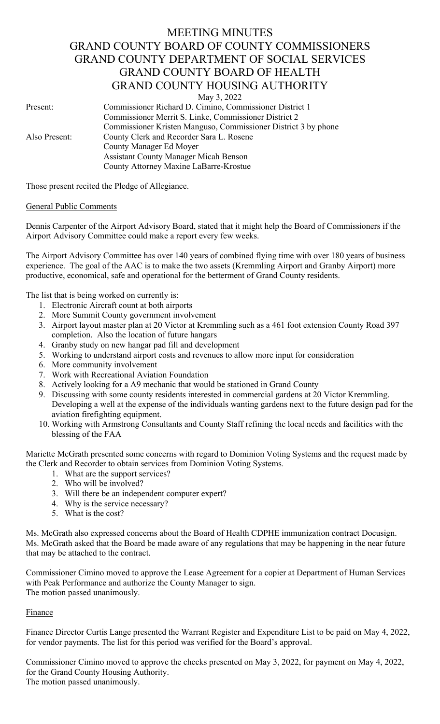# MEETING MINUTES GRAND COUNTY BOARD OF COUNTY COMMISSIONERS GRAND COUNTY DEPARTMENT OF SOCIAL SERVICES GRAND COUNTY BOARD OF HEALTH GRAND COUNTY HOUSING AUTHORITY

May 3, 2022

Present: Commissioner Richard D. Cimino, Commissioner District 1 Commissioner Merrit S. Linke, Commissioner District 2 Commissioner Kristen Manguso, Commissioner District 3 by phone Also Present: County Clerk and Recorder Sara L. Rosene County Manager Ed Moyer Assistant County Manager Micah Benson County Attorney Maxine LaBarre-Krostue

Those present recited the Pledge of Allegiance.

### General Public Comments

Dennis Carpenter of the Airport Advisory Board, stated that it might help the Board of Commissioners if the Airport Advisory Committee could make a report every few weeks.

The Airport Advisory Committee has over 140 years of combined flying time with over 180 years of business experience. The goal of the AAC is to make the two assets (Kremmling Airport and Granby Airport) more productive, economical, safe and operational for the betterment of Grand County residents.

The list that is being worked on currently is:

- 1. Electronic Aircraft count at both airports
- 2. More Summit County government involvement
- 3. Airport layout master plan at 20 Victor at Kremmling such as a 461 foot extension County Road 397 completion. Also the location of future hangars
- 4. Granby study on new hangar pad fill and development
- 5. Working to understand airport costs and revenues to allow more input for consideration
- 6. More community involvement
- 7. Work with Recreational Aviation Foundation
- 8. Actively looking for a A9 mechanic that would be stationed in Grand County
- 9. Discussing with some county residents interested in commercial gardens at 20 Victor Kremmling. Developing a well at the expense of the individuals wanting gardens next to the future design pad for the aviation firefighting equipment.
- 10. Working with Armstrong Consultants and County Staff refining the local needs and facilities with the blessing of the FAA

Mariette McGrath presented some concerns with regard to Dominion Voting Systems and the request made by the Clerk and Recorder to obtain services from Dominion Voting Systems.

- 1. What are the support services?
- 2. Who will be involved?
- 3. Will there be an independent computer expert?
- 4. Why is the service necessary?
- 5. What is the cost?

Ms. McGrath also expressed concerns about the Board of Health CDPHE immunization contract Docusign. Ms. McGrath asked that the Board be made aware of any regulations that may be happening in the near future that may be attached to the contract.

Commissioner Cimino moved to approve the Lease Agreement for a copier at Department of Human Services with Peak Performance and authorize the County Manager to sign. The motion passed unanimously.

#### Finance

Finance Director Curtis Lange presented the Warrant Register and Expenditure List to be paid on May 4, 2022, for vendor payments. The list for this period was verified for the Board's approval.

Commissioner Cimino moved to approve the checks presented on May 3, 2022, for payment on May 4, 2022, for the Grand County Housing Authority. The motion passed unanimously.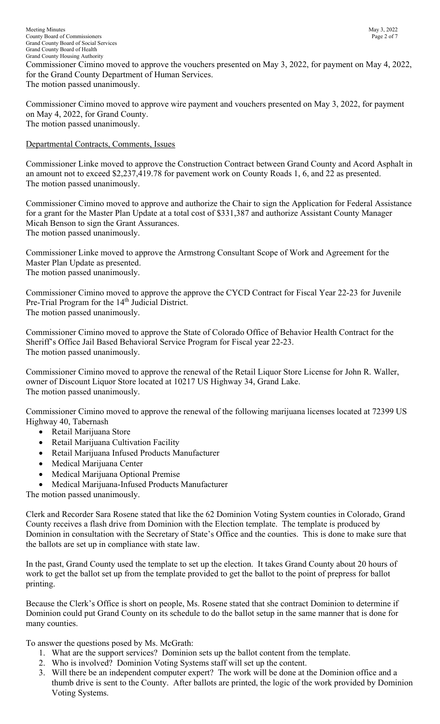Meeting Minutes May 3, 2022<br>
County Board of Commissioners Page 2 of 7 County Board of Commissioners Grand County Board of Social Services Grand County Board of Health Grand County Housing Authority Commissioner Cimino moved to approve the vouchers presented on May 3, 2022, for payment on May 4, 2022, for the Grand County Department of Human Services. The motion passed unanimously.

Commissioner Cimino moved to approve wire payment and vouchers presented on May 3, 2022, for payment on May 4, 2022, for Grand County. The motion passed unanimously.

## Departmental Contracts, Comments, Issues

Commissioner Linke moved to approve the Construction Contract between Grand County and Acord Asphalt in an amount not to exceed \$2,237,419.78 for pavement work on County Roads 1, 6, and 22 as presented. The motion passed unanimously.

Commissioner Cimino moved to approve and authorize the Chair to sign the Application for Federal Assistance for a grant for the Master Plan Update at a total cost of \$331,387 and authorize Assistant County Manager Micah Benson to sign the Grant Assurances. The motion passed unanimously.

Commissioner Linke moved to approve the Armstrong Consultant Scope of Work and Agreement for the Master Plan Update as presented. The motion passed unanimously.

Commissioner Cimino moved to approve the approve the CYCD Contract for Fiscal Year 22-23 for Juvenile Pre-Trial Program for the 14<sup>th</sup> Judicial District. The motion passed unanimously.

Commissioner Cimino moved to approve the State of Colorado Office of Behavior Health Contract for the Sheriff's Office Jail Based Behavioral Service Program for Fiscal year 22-23. The motion passed unanimously.

Commissioner Cimino moved to approve the renewal of the Retail Liquor Store License for John R. Waller, owner of Discount Liquor Store located at 10217 US Highway 34, Grand Lake. The motion passed unanimously.

Commissioner Cimino moved to approve the renewal of the following marijuana licenses located at 72399 US Highway 40, Tabernash

- Retail Marijuana Store
- Retail Marijuana Cultivation Facility
- Retail Marijuana Infused Products Manufacturer
- Medical Marijuana Center
- Medical Marijuana Optional Premise
- Medical Marijuana-Infused Products Manufacturer

The motion passed unanimously.

Clerk and Recorder Sara Rosene stated that like the 62 Dominion Voting System counties in Colorado, Grand County receives a flash drive from Dominion with the Election template. The template is produced by Dominion in consultation with the Secretary of State's Office and the counties. This is done to make sure that the ballots are set up in compliance with state law.

In the past, Grand County used the template to set up the election. It takes Grand County about 20 hours of work to get the ballot set up from the template provided to get the ballot to the point of prepress for ballot printing.

Because the Clerk's Office is short on people, Ms. Rosene stated that she contract Dominion to determine if Dominion could put Grand County on its schedule to do the ballot setup in the same manner that is done for many counties.

To answer the questions posed by Ms. McGrath:

- 1. What are the support services? Dominion sets up the ballot content from the template.
- 2. Who is involved? Dominion Voting Systems staff will set up the content.
- 3. Will there be an independent computer expert? The work will be done at the Dominion office and a thumb drive is sent to the County. After ballots are printed, the logic of the work provided by Dominion Voting Systems.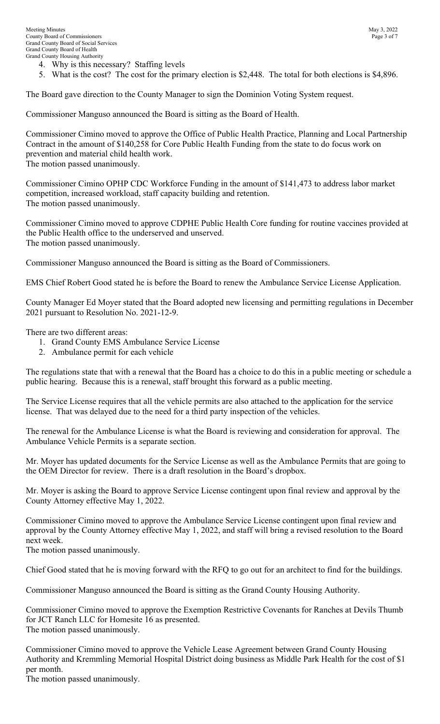- 4. Why is this necessary? Staffing levels
- 5. What is the cost? The cost for the primary election is \$2,448. The total for both elections is \$4,896.

The Board gave direction to the County Manager to sign the Dominion Voting System request.

Commissioner Manguso announced the Board is sitting as the Board of Health.

Commissioner Cimino moved to approve the Office of Public Health Practice, Planning and Local Partnership Contract in the amount of \$140,258 for Core Public Health Funding from the state to do focus work on prevention and material child health work.

The motion passed unanimously.

Commissioner Cimino OPHP CDC Workforce Funding in the amount of \$141,473 to address labor market competition, increased workload, staff capacity building and retention. The motion passed unanimously.

Commissioner Cimino moved to approve CDPHE Public Health Core funding for routine vaccines provided at the Public Health office to the underserved and unserved. The motion passed unanimously.

Commissioner Manguso announced the Board is sitting as the Board of Commissioners.

EMS Chief Robert Good stated he is before the Board to renew the Ambulance Service License Application.

County Manager Ed Moyer stated that the Board adopted new licensing and permitting regulations in December 2021 pursuant to Resolution No. 2021-12-9.

There are two different areas:

- 1. Grand County EMS Ambulance Service License
- 2. Ambulance permit for each vehicle

The regulations state that with a renewal that the Board has a choice to do this in a public meeting or schedule a public hearing. Because this is a renewal, staff brought this forward as a public meeting.

The Service License requires that all the vehicle permits are also attached to the application for the service license. That was delayed due to the need for a third party inspection of the vehicles.

The renewal for the Ambulance License is what the Board is reviewing and consideration for approval. The Ambulance Vehicle Permits is a separate section.

Mr. Moyer has updated documents for the Service License as well as the Ambulance Permits that are going to the OEM Director for review. There is a draft resolution in the Board's dropbox.

Mr. Moyer is asking the Board to approve Service License contingent upon final review and approval by the County Attorney effective May 1, 2022.

Commissioner Cimino moved to approve the Ambulance Service License contingent upon final review and approval by the County Attorney effective May 1, 2022, and staff will bring a revised resolution to the Board next week.

The motion passed unanimously.

Chief Good stated that he is moving forward with the RFQ to go out for an architect to find for the buildings.

Commissioner Manguso announced the Board is sitting as the Grand County Housing Authority.

Commissioner Cimino moved to approve the Exemption Restrictive Covenants for Ranches at Devils Thumb for JCT Ranch LLC for Homesite 16 as presented. The motion passed unanimously.

Commissioner Cimino moved to approve the Vehicle Lease Agreement between Grand County Housing Authority and Kremmling Memorial Hospital District doing business as Middle Park Health for the cost of \$1 per month.

The motion passed unanimously.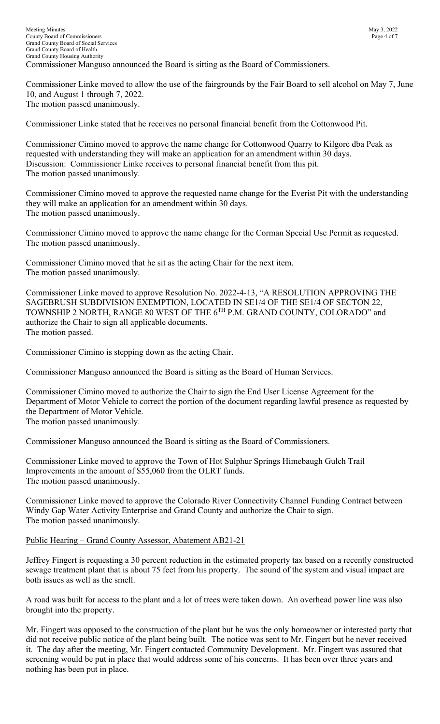Commissioner Linke moved to allow the use of the fairgrounds by the Fair Board to sell alcohol on May 7, June 10, and August 1 through 7, 2022. The motion passed unanimously.

Commissioner Linke stated that he receives no personal financial benefit from the Cottonwood Pit.

Commissioner Cimino moved to approve the name change for Cottonwood Quarry to Kilgore dba Peak as requested with understanding they will make an application for an amendment within 30 days. Discussion: Commissioner Linke receives to personal financial benefit from this pit. The motion passed unanimously.

Commissioner Cimino moved to approve the requested name change for the Everist Pit with the understanding they will make an application for an amendment within 30 days. The motion passed unanimously.

Commissioner Cimino moved to approve the name change for the Corman Special Use Permit as requested. The motion passed unanimously.

Commissioner Cimino moved that he sit as the acting Chair for the next item. The motion passed unanimously.

Commissioner Linke moved to approve Resolution No. 2022-4-13, "A RESOLUTION APPROVING THE SAGEBRUSH SUBDIVISION EXEMPTION, LOCATED IN SE1/4 OF THE SE1/4 OF SECTON 22, TOWNSHIP 2 NORTH, RANGE 80 WEST OF THE 6TH P.M. GRAND COUNTY, COLORADO" and authorize the Chair to sign all applicable documents. The motion passed.

Commissioner Cimino is stepping down as the acting Chair.

Commissioner Manguso announced the Board is sitting as the Board of Human Services.

Commissioner Cimino moved to authorize the Chair to sign the End User License Agreement for the Department of Motor Vehicle to correct the portion of the document regarding lawful presence as requested by the Department of Motor Vehicle. The motion passed unanimously.

Commissioner Manguso announced the Board is sitting as the Board of Commissioners.

Commissioner Linke moved to approve the Town of Hot Sulphur Springs Himebaugh Gulch Trail Improvements in the amount of \$55,060 from the OLRT funds. The motion passed unanimously.

Commissioner Linke moved to approve the Colorado River Connectivity Channel Funding Contract between Windy Gap Water Activity Enterprise and Grand County and authorize the Chair to sign. The motion passed unanimously.

## Public Hearing – Grand County Assessor, Abatement AB21-21

Jeffrey Fingert is requesting a 30 percent reduction in the estimated property tax based on a recently constructed sewage treatment plant that is about 75 feet from his property. The sound of the system and visual impact are both issues as well as the smell.

A road was built for access to the plant and a lot of trees were taken down. An overhead power line was also brought into the property.

Mr. Fingert was opposed to the construction of the plant but he was the only homeowner or interested party that did not receive public notice of the plant being built. The notice was sent to Mr. Fingert but he never received it. The day after the meeting, Mr. Fingert contacted Community Development. Mr. Fingert was assured that screening would be put in place that would address some of his concerns. It has been over three years and nothing has been put in place.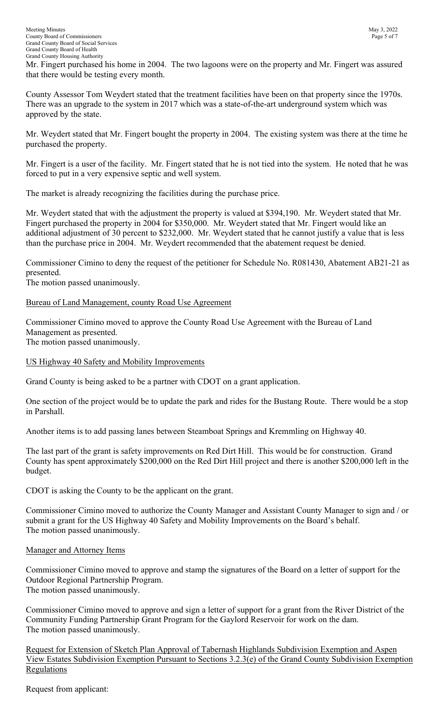Mr. Fingert purchased his home in 2004. The two lagoons were on the property and Mr. Fingert was assured that there would be testing every month.

County Assessor Tom Weydert stated that the treatment facilities have been on that property since the 1970s. There was an upgrade to the system in 2017 which was a state-of-the-art underground system which was approved by the state.

Mr. Weydert stated that Mr. Fingert bought the property in 2004. The existing system was there at the time he purchased the property.

Mr. Fingert is a user of the facility. Mr. Fingert stated that he is not tied into the system. He noted that he was forced to put in a very expensive septic and well system.

The market is already recognizing the facilities during the purchase price.

Mr. Weydert stated that with the adjustment the property is valued at \$394,190. Mr. Weydert stated that Mr. Fingert purchased the property in 2004 for \$350,000. Mr. Weydert stated that Mr. Fingert would like an additional adjustment of 30 percent to \$232,000. Mr. Weydert stated that he cannot justify a value that is less than the purchase price in 2004. Mr. Weydert recommended that the abatement request be denied.

Commissioner Cimino to deny the request of the petitioner for Schedule No. R081430, Abatement AB21-21 as presented.

The motion passed unanimously.

### Bureau of Land Management, county Road Use Agreement

Commissioner Cimino moved to approve the County Road Use Agreement with the Bureau of Land Management as presented. The motion passed unanimously.

### US Highway 40 Safety and Mobility Improvements

Grand County is being asked to be a partner with CDOT on a grant application.

One section of the project would be to update the park and rides for the Bustang Route. There would be a stop in Parshall.

Another items is to add passing lanes between Steamboat Springs and Kremmling on Highway 40.

The last part of the grant is safety improvements on Red Dirt Hill. This would be for construction. Grand County has spent approximately \$200,000 on the Red Dirt Hill project and there is another \$200,000 left in the budget.

CDOT is asking the County to be the applicant on the grant.

Commissioner Cimino moved to authorize the County Manager and Assistant County Manager to sign and / or submit a grant for the US Highway 40 Safety and Mobility Improvements on the Board's behalf. The motion passed unanimously.

#### Manager and Attorney Items

Commissioner Cimino moved to approve and stamp the signatures of the Board on a letter of support for the Outdoor Regional Partnership Program. The motion passed unanimously.

Commissioner Cimino moved to approve and sign a letter of support for a grant from the River District of the Community Funding Partnership Grant Program for the Gaylord Reservoir for work on the dam. The motion passed unanimously.

Request for Extension of Sketch Plan Approval of Tabernash Highlands Subdivision Exemption and Aspen View Estates Subdivision Exemption Pursuant to Sections 3.2.3(e) of the Grand County Subdivision Exemption **Regulations** 

Request from applicant: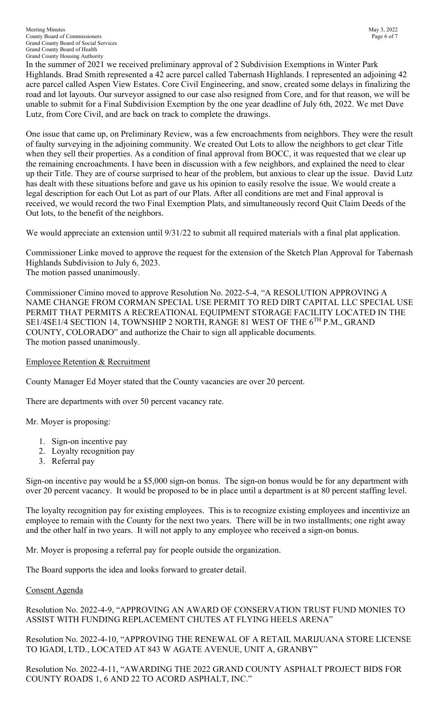Meeting Minutes May 3, 2022 County Board of Commissioners Page 6 of 7 Grand County Board of Social Services Grand County Board of Health Grand County Housing Authority

In the summer of 2021 we received preliminary approval of 2 Subdivision Exemptions in Winter Park Highlands. Brad Smith represented a 42 acre parcel called Tabernash Highlands. I represented an adjoining 42 acre parcel called Aspen View Estates. Core Civil Engineering, and snow, created some delays in finalizing the road and lot layouts. Our surveyor assigned to our case also resigned from Core, and for that reason, we will be unable to submit for a Final Subdivision Exemption by the one year deadline of July 6th, 2022. We met Dave Lutz, from Core Civil, and are back on track to complete the drawings.

One issue that came up, on Preliminary Review, was a few encroachments from neighbors. They were the result of faulty surveying in the adjoining community. We created Out Lots to allow the neighbors to get clear Title when they sell their properties. As a condition of final approval from BOCC, it was requested that we clear up the remaining encroachments. I have been in discussion with a few neighbors, and explained the need to clear up their Title. They are of course surprised to hear of the problem, but anxious to clear up the issue. David Lutz has dealt with these situations before and gave us his opinion to easily resolve the issue. We would create a legal description for each Out Lot as part of our Plats. After all conditions are met and Final approval is received, we would record the two Final Exemption Plats, and simultaneously record Quit Claim Deeds of the Out lots, to the benefit of the neighbors.

We would appreciate an extension until  $9/31/22$  to submit all required materials with a final plat application.

Commissioner Linke moved to approve the request for the extension of the Sketch Plan Approval for Tabernash Highlands Subdivision to July 6, 2023. The motion passed unanimously.

Commissioner Cimino moved to approve Resolution No. 2022-5-4, "A RESOLUTION APPROVING A NAME CHANGE FROM CORMAN SPECIAL USE PERMIT TO RED DIRT CAPITAL LLC SPECIAL USE PERMIT THAT PERMITS A RECREATIONAL EQUIPMENT STORAGE FACILITY LOCATED IN THE SE1/4SE1/4 SECTION 14, TOWNSHIP 2 NORTH, RANGE 81 WEST OF THE 6<sup>TH</sup> P.M., GRAND COUNTY, COLORADO" and authorize the Chair to sign all applicable documents. The motion passed unanimously.

## Employee Retention & Recruitment

County Manager Ed Moyer stated that the County vacancies are over 20 percent.

There are departments with over 50 percent vacancy rate.

Mr. Moyer is proposing:

- 1. Sign-on incentive pay
- 2. Loyalty recognition pay
- 3. Referral pay

Sign-on incentive pay would be a \$5,000 sign-on bonus. The sign-on bonus would be for any department with over 20 percent vacancy. It would be proposed to be in place until a department is at 80 percent staffing level.

The loyalty recognition pay for existing employees. This is to recognize existing employees and incentivize an employee to remain with the County for the next two years. There will be in two installments; one right away and the other half in two years. It will not apply to any employee who received a sign-on bonus.

Mr. Moyer is proposing a referral pay for people outside the organization.

The Board supports the idea and looks forward to greater detail.

## Consent Agenda

Resolution No. 2022-4-9, "APPROVING AN AWARD OF CONSERVATION TRUST FUND MONIES TO ASSIST WITH FUNDING REPLACEMENT CHUTES AT FLYING HEELS ARENA"

Resolution No. 2022-4-10, "APPROVING THE RENEWAL OF A RETAIL MARIJUANA STORE LICENSE TO IGADI, LTD., LOCATED AT 843 W AGATE AVENUE, UNIT A, GRANBY"

Resolution No. 2022-4-11, "AWARDING THE 2022 GRAND COUNTY ASPHALT PROJECT BIDS FOR COUNTY ROADS 1, 6 AND 22 TO ACORD ASPHALT, INC."